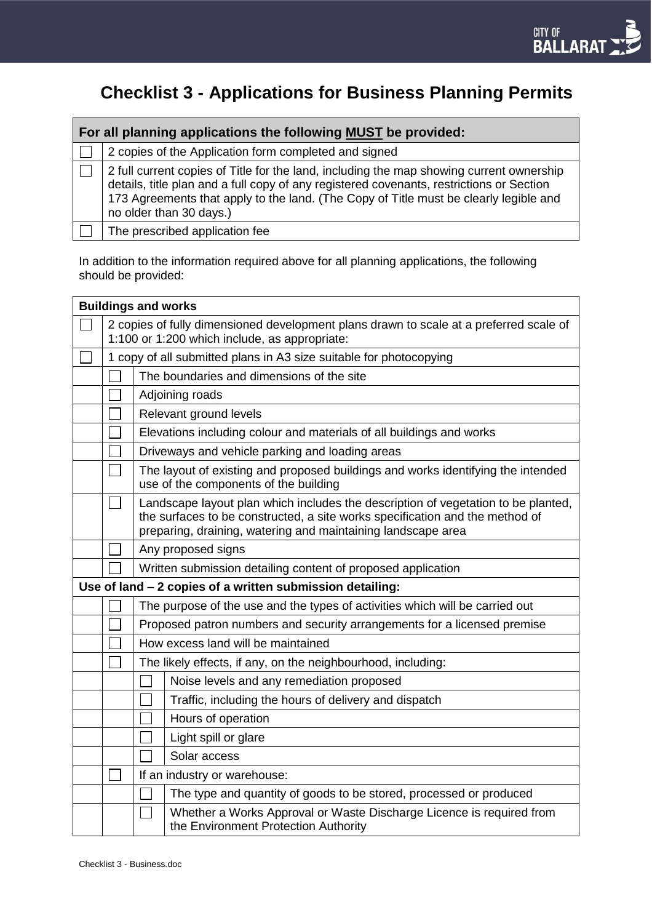# **Checklist 3 - Applications for Business Planning Permits**

| For all planning applications the following MUST be provided: |                                                                                                                                                                                                                                                                                                          |  |  |  |  |
|---------------------------------------------------------------|----------------------------------------------------------------------------------------------------------------------------------------------------------------------------------------------------------------------------------------------------------------------------------------------------------|--|--|--|--|
|                                                               | 2 copies of the Application form completed and signed                                                                                                                                                                                                                                                    |  |  |  |  |
|                                                               | 2 full current copies of Title for the land, including the map showing current ownership<br>details, title plan and a full copy of any registered covenants, restrictions or Section<br>173 Agreements that apply to the land. (The Copy of Title must be clearly legible and<br>no older than 30 days.) |  |  |  |  |
|                                                               | The prescribed application fee                                                                                                                                                                                                                                                                           |  |  |  |  |

In addition to the information required above for all planning applications, the following should be provided:

| <b>Buildings and works</b>                                                                                                              |                                                                                                                                                                                                                                   |                                                                                                              |  |  |  |  |
|-----------------------------------------------------------------------------------------------------------------------------------------|-----------------------------------------------------------------------------------------------------------------------------------------------------------------------------------------------------------------------------------|--------------------------------------------------------------------------------------------------------------|--|--|--|--|
| 2 copies of fully dimensioned development plans drawn to scale at a preferred scale of<br>1:100 or 1:200 which include, as appropriate: |                                                                                                                                                                                                                                   |                                                                                                              |  |  |  |  |
|                                                                                                                                         | 1 copy of all submitted plans in A3 size suitable for photocopying                                                                                                                                                                |                                                                                                              |  |  |  |  |
|                                                                                                                                         |                                                                                                                                                                                                                                   | The boundaries and dimensions of the site                                                                    |  |  |  |  |
|                                                                                                                                         | Adjoining roads                                                                                                                                                                                                                   |                                                                                                              |  |  |  |  |
|                                                                                                                                         |                                                                                                                                                                                                                                   | Relevant ground levels                                                                                       |  |  |  |  |
|                                                                                                                                         | Elevations including colour and materials of all buildings and works                                                                                                                                                              |                                                                                                              |  |  |  |  |
|                                                                                                                                         | Driveways and vehicle parking and loading areas                                                                                                                                                                                   |                                                                                                              |  |  |  |  |
|                                                                                                                                         | The layout of existing and proposed buildings and works identifying the intended<br>use of the components of the building                                                                                                         |                                                                                                              |  |  |  |  |
|                                                                                                                                         | Landscape layout plan which includes the description of vegetation to be planted,<br>the surfaces to be constructed, a site works specification and the method of<br>preparing, draining, watering and maintaining landscape area |                                                                                                              |  |  |  |  |
|                                                                                                                                         | Any proposed signs                                                                                                                                                                                                                |                                                                                                              |  |  |  |  |
|                                                                                                                                         |                                                                                                                                                                                                                                   | Written submission detailing content of proposed application                                                 |  |  |  |  |
|                                                                                                                                         |                                                                                                                                                                                                                                   | Use of land - 2 copies of a written submission detailing:                                                    |  |  |  |  |
|                                                                                                                                         | The purpose of the use and the types of activities which will be carried out                                                                                                                                                      |                                                                                                              |  |  |  |  |
|                                                                                                                                         | Proposed patron numbers and security arrangements for a licensed premise                                                                                                                                                          |                                                                                                              |  |  |  |  |
|                                                                                                                                         | How excess land will be maintained                                                                                                                                                                                                |                                                                                                              |  |  |  |  |
|                                                                                                                                         | The likely effects, if any, on the neighbourhood, including:                                                                                                                                                                      |                                                                                                              |  |  |  |  |
|                                                                                                                                         |                                                                                                                                                                                                                                   | Noise levels and any remediation proposed                                                                    |  |  |  |  |
|                                                                                                                                         |                                                                                                                                                                                                                                   | Traffic, including the hours of delivery and dispatch                                                        |  |  |  |  |
|                                                                                                                                         |                                                                                                                                                                                                                                   | Hours of operation                                                                                           |  |  |  |  |
|                                                                                                                                         |                                                                                                                                                                                                                                   | Light spill or glare                                                                                         |  |  |  |  |
|                                                                                                                                         |                                                                                                                                                                                                                                   | Solar access                                                                                                 |  |  |  |  |
|                                                                                                                                         | If an industry or warehouse:                                                                                                                                                                                                      |                                                                                                              |  |  |  |  |
|                                                                                                                                         |                                                                                                                                                                                                                                   | The type and quantity of goods to be stored, processed or produced                                           |  |  |  |  |
|                                                                                                                                         | $\mathcal{L}_{\mathcal{A}}$                                                                                                                                                                                                       | Whether a Works Approval or Waste Discharge Licence is required from<br>the Environment Protection Authority |  |  |  |  |